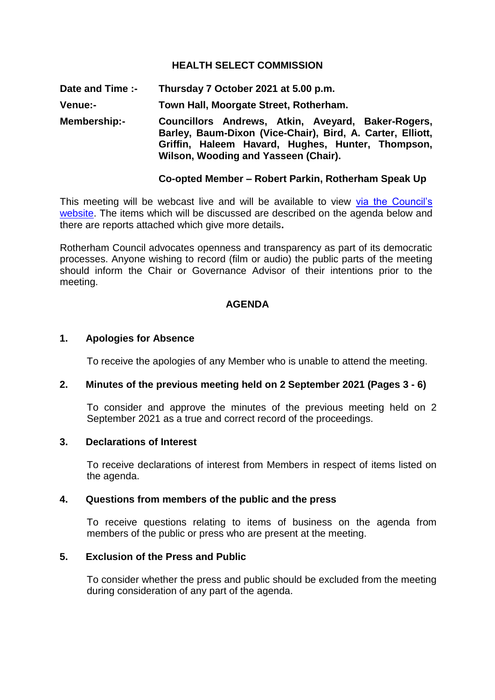### **HEALTH SELECT COMMISSION**

**Date and Time :- Thursday 7 October 2021 at 5.00 p.m.**

**Venue:- Town Hall, Moorgate Street, Rotherham.**

**Membership:- Councillors Andrews, Atkin, Aveyard, Baker-Rogers, Barley, Baum-Dixon (Vice-Chair), Bird, A. Carter, Elliott, Griffin, Haleem Havard, Hughes, Hunter, Thompson, Wilson, Wooding and Yasseen (Chair).**

#### **Co-opted Member – Robert Parkin, Rotherham Speak Up**

This meeting will be webcast live and will be available to view via the Council's [website.](https://rotherham.public-i.tv/core/portal/home) The items which will be discussed are described on the agenda below and there are reports attached which give more details**.**

Rotherham Council advocates openness and transparency as part of its democratic processes. Anyone wishing to record (film or audio) the public parts of the meeting should inform the Chair or Governance Advisor of their intentions prior to the meeting.

#### **AGENDA**

#### **1. Apologies for Absence**

To receive the apologies of any Member who is unable to attend the meeting.

#### **2. Minutes of the previous meeting held on 2 September 2021 (Pages 3 - 6)**

To consider and approve the minutes of the previous meeting held on 2 September 2021 as a true and correct record of the proceedings.

#### **3. Declarations of Interest**

To receive declarations of interest from Members in respect of items listed on the agenda.

## **4. Questions from members of the public and the press**

To receive questions relating to items of business on the agenda from members of the public or press who are present at the meeting.

#### **5. Exclusion of the Press and Public**

To consider whether the press and public should be excluded from the meeting during consideration of any part of the agenda.